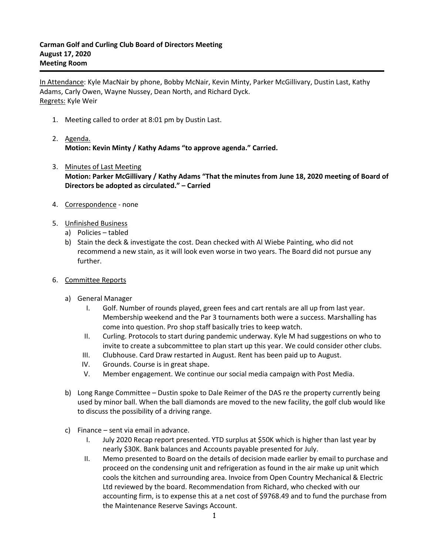In Attendance: Kyle MacNair by phone, Bobby McNair, Kevin Minty, Parker McGillivary, Dustin Last, Kathy Adams, Carly Owen, Wayne Nussey, Dean North, and Richard Dyck. Regrets: Kyle Weir

- 1. Meeting called to order at 8:01 pm by Dustin Last.
- 2. Agenda. **Motion: Kevin Minty / Kathy Adams "to approve agenda." Carried.**
- 3. Minutes of Last Meeting **Motion: Parker McGillivary / Kathy Adams "That the minutes from June 18, 2020 meeting of Board of Directors be adopted as circulated." – Carried**
- 4. Correspondence none
- 5. Unfinished Business
	- a) Policies tabled
	- b) Stain the deck & investigate the cost. Dean checked with Al Wiebe Painting, who did not recommend a new stain, as it will look even worse in two years. The Board did not pursue any further.
- 6. Committee Reports
	- a) General Manager
		- I. Golf. Number of rounds played, green fees and cart rentals are all up from last year. Membership weekend and the Par 3 tournaments both were a success. Marshalling has come into question. Pro shop staff basically tries to keep watch.
		- II. Curling. Protocols to start during pandemic underway. Kyle M had suggestions on who to invite to create a subcommittee to plan start up this year. We could consider other clubs.
		- III. Clubhouse. Card Draw restarted in August. Rent has been paid up to August.
		- IV. Grounds. Course is in great shape.
		- V. Member engagement. We continue our social media campaign with Post Media.
	- b) Long Range Committee Dustin spoke to Dale Reimer of the DAS re the property currently being used by minor ball. When the ball diamonds are moved to the new facility, the golf club would like to discuss the possibility of a driving range.
	- c) Finance sent via email in advance.
		- I. July 2020 Recap report presented. YTD surplus at \$50K which is higher than last year by nearly \$30K. Bank balances and Accounts payable presented for July.
		- II. Memo presented to Board on the details of decision made earlier by email to purchase and proceed on the condensing unit and refrigeration as found in the air make up unit which cools the kitchen and surrounding area. Invoice from Open Country Mechanical & Electric Ltd reviewed by the board. Recommendation from Richard, who checked with our accounting firm, is to expense this at a net cost of \$9768.49 and to fund the purchase from the Maintenance Reserve Savings Account.